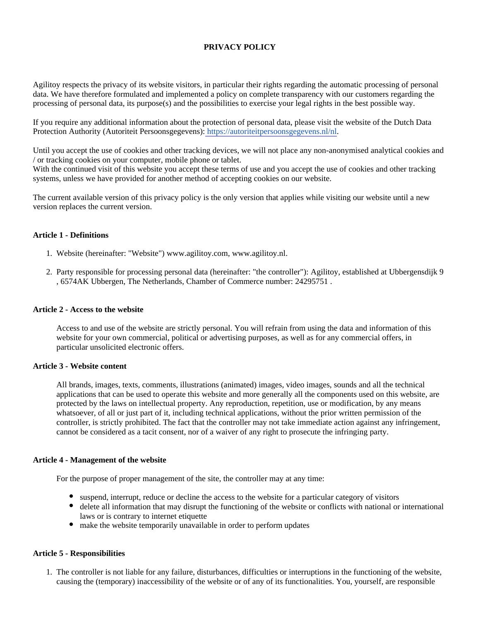# **PRIVACY POLICY**

Agilitoy respects the privacy of its website visitors, in particular their rights regarding the automatic processing of personal data. We have therefore formulated and implemented a policy on complete transparency with our customers regarding the processing of personal data, its purpose(s) and the possibilities to exercise your legal rights in the best possible way.

If you require any additional information about the protection of personal data, please visit the website of the Dutch Data Protection Authority (Autoriteit Persoonsgegevens): [https://autoriteitpersoonsgegevens.nl/nl.](https://autoriteitpersoonsgegevens.nl/nl)

Until you accept the use of cookies and other tracking devices, we will not place any non-anonymised analytical cookies and / or tracking cookies on your computer, mobile phone or tablet.

With the continued visit of this website you accept these terms of use and you accept the use of cookies and other tracking systems, unless we have provided for another method of accepting cookies on our website.

The current available version of this privacy policy is the only version that applies while visiting our website until a new version replaces the current version.

### **Article 1 - Definitions**

- 1. Website (hereinafter: "Website") www.agilitoy.com, www.agilitoy.nl.
- 2. Party responsible for processing personal data (hereinafter: "the controller"): Agilitoy, established at Ubbergensdijk 9 , 6574AK Ubbergen, The Netherlands, Chamber of Commerce number: 24295751 .

#### **Article 2 - Access to the website**

Access to and use of the website are strictly personal. You will refrain from using the data and information of this website for your own commercial, political or advertising purposes, as well as for any commercial offers, in particular unsolicited electronic offers.

#### **Article 3 - Website content**

All brands, images, texts, comments, illustrations (animated) images, video images, sounds and all the technical applications that can be used to operate this website and more generally all the components used on this website, are protected by the laws on intellectual property. Any reproduction, repetition, use or modification, by any means whatsoever, of all or just part of it, including technical applications, without the prior written permission of the controller, is strictly prohibited. The fact that the controller may not take immediate action against any infringement, cannot be considered as a tacit consent, nor of a waiver of any right to prosecute the infringing party.

#### **Article 4 - Management of the website**

For the purpose of proper management of the site, the controller may at any time:

- suspend, interrupt, reduce or decline the access to the website for a particular category of visitors
- delete all information that may disrupt the functioning of the website or conflicts with national or international laws or is contrary to internet etiquette
- make the website temporarily unavailable in order to perform updates

#### **Article 5 - Responsibilities**

1. The controller is not liable for any failure, disturbances, difficulties or interruptions in the functioning of the website, causing the (temporary) inaccessibility of the website or of any of its functionalities. You, yourself, are responsible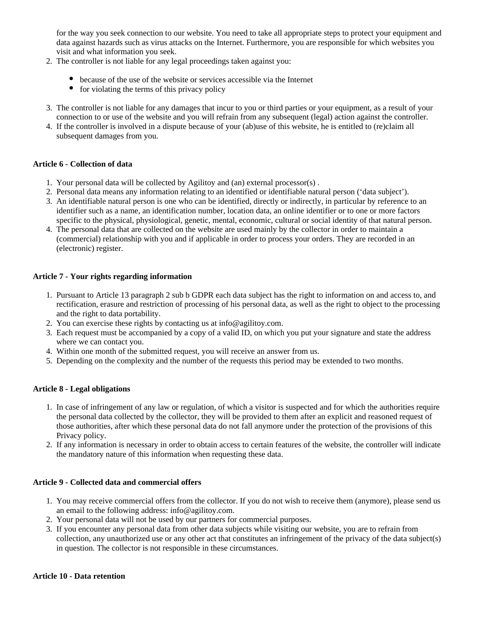for the way you seek connection to our website. You need to take all appropriate steps to protect your equipment and data against hazards such as virus attacks on the Internet. Furthermore, you are responsible for which websites you visit and what information you seek.

- 2. The controller is not liable for any legal proceedings taken against you:
	- because of the use of the website or services accessible via the Internet
	- $\bullet$  for violating the terms of this privacy policy
- 3. The controller is not liable for any damages that incur to you or third parties or your equipment, as a result of your connection to or use of the website and you will refrain from any subsequent (legal) action against the controller.
- 4. If the controller is involved in a dispute because of your (ab)use of this website, he is entitled to (re)claim all subsequent damages from you.

# **Article 6 - Collection of data**

- 1. Your personal data will be collected by Agilitoy and (an) external processor(s) .
- 2. Personal data means any information relating to an identified or identifiable natural person ('data subject').
- 3. An identifiable natural person is one who can be identified, directly or indirectly, in particular by reference to an identifier such as a name, an identification number, location data, an online identifier or to one or more factors specific to the physical, physiological, genetic, mental, economic, cultural or social identity of that natural person.
- 4. The personal data that are collected on the website are used mainly by the collector in order to maintain a (commercial) relationship with you and if applicable in order to process your orders. They are recorded in an (electronic) register.

### **Article 7 - Your rights regarding information**

- 1. Pursuant to Article 13 paragraph 2 sub b GDPR each data subject has the right to information on and access to, and rectification, erasure and restriction of processing of his personal data, as well as the right to object to the processing and the right to data portability.
- 2. You can exercise these rights by contacting us at info@agilitoy.com.
- 3. Each request must be accompanied by a copy of a valid ID, on which you put your signature and state the address where we can contact you.
- 4. Within one month of the submitted request, you will receive an answer from us.
- 5. Depending on the complexity and the number of the requests this period may be extended to two months.

# **Article 8 - Legal obligations**

- 1. In case of infringement of any law or regulation, of which a visitor is suspected and for which the authorities require the personal data collected by the collector, they will be provided to them after an explicit and reasoned request of those authorities, after which these personal data do not fall anymore under the protection of the provisions of this Privacy policy.
- 2. If any information is necessary in order to obtain access to certain features of the website, the controller will indicate the mandatory nature of this information when requesting these data.

## **Article 9 - Collected data and commercial offers**

- 1. You may receive commercial offers from the collector. If you do not wish to receive them (anymore), please send us an email to the following address: info@agilitoy.com.
- 2. Your personal data will not be used by our partners for commercial purposes.
- 3. If you encounter any personal data from other data subjects while visiting our website, you are to refrain from collection, any unauthorized use or any other act that constitutes an infringement of the privacy of the data subject(s) in question. The collector is not responsible in these circumstances.